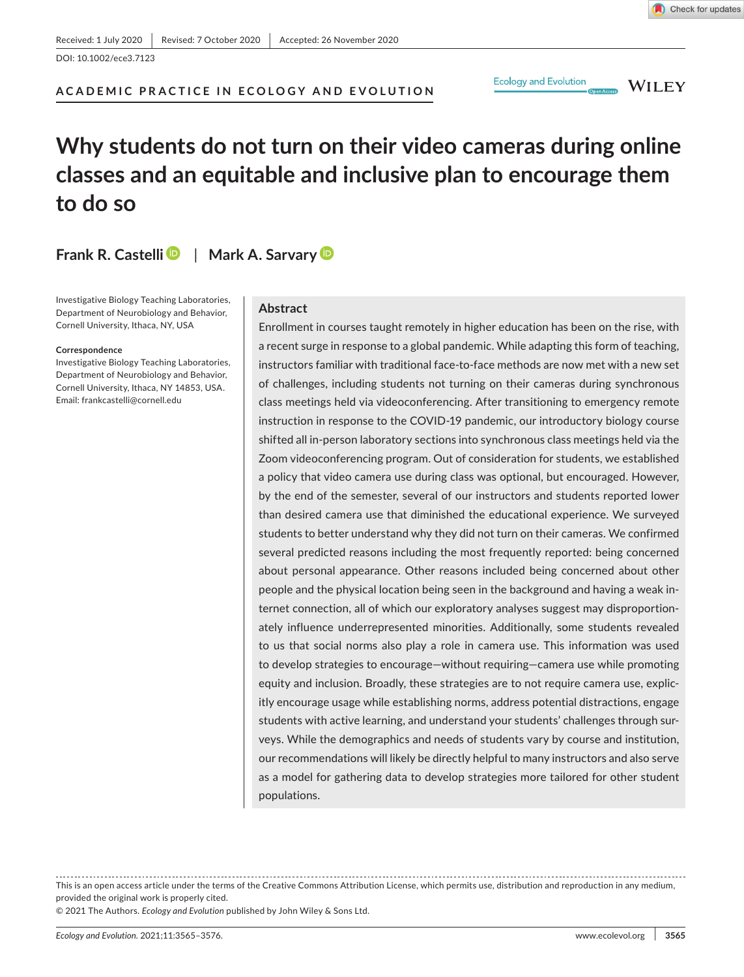**WILEY** 

**Ecology and Evolution** 

# **Why students do not turn on their video cameras during online classes and an equitable and inclusive plan to encourage them to do so**

**Frank R. Castelli** | **Mark A. Sarvary**

Investigative Biology Teaching Laboratories, Department of Neurobiology and Behavior, Cornell University, Ithaca, NY, USA

#### **Correspondence**

Investigative Biology Teaching Laboratories, Department of Neurobiology and Behavior, Cornell University, Ithaca, NY 14853, USA. Email: [frankcastelli@cornell.edu](mailto:frankcastelli@cornell.edu)

### **Abstract**

**ACADEMIC PRACTICE IN ECOLOGY AND EVOLUTION**

Enrollment in courses taught remotely in higher education has been on the rise, with a recent surge in response to a global pandemic. While adapting this form of teaching, instructors familiar with traditional face-to-face methods are now met with a new set of challenges, including students not turning on their cameras during synchronous class meetings held via videoconferencing. After transitioning to emergency remote instruction in response to the COVID-19 pandemic, our introductory biology course shifted all in-person laboratory sections into synchronous class meetings held via the Zoom videoconferencing program. Out of consideration for students, we established a policy that video camera use during class was optional, but encouraged. However, by the end of the semester, several of our instructors and students reported lower than desired camera use that diminished the educational experience. We surveyed students to better understand why they did not turn on their cameras. We confirmed several predicted reasons including the most frequently reported: being concerned about personal appearance. Other reasons included being concerned about other people and the physical location being seen in the background and having a weak internet connection, all of which our exploratory analyses suggest may disproportionately influence underrepresented minorities. Additionally, some students revealed to us that social norms also play a role in camera use. This information was used to develop strategies to encourage—without requiring—camera use while promoting equity and inclusion. Broadly, these strategies are to not require camera use, explicitly encourage usage while establishing norms, address potential distractions, engage students with active learning, and understand your students' challenges through surveys. While the demographics and needs of students vary by course and institution, our recommendations will likely be directly helpful to many instructors and also serve as a model for gathering data to develop strategies more tailored for other student populations.

This is an open access article under the terms of the [Creative Commons Attribution](http://creativecommons.org/licenses/by/4.0/) License, which permits use, distribution and reproduction in any medium, provided the original work is properly cited.

© 2021 The Authors. *Ecology and Evolution* published by John Wiley & Sons Ltd.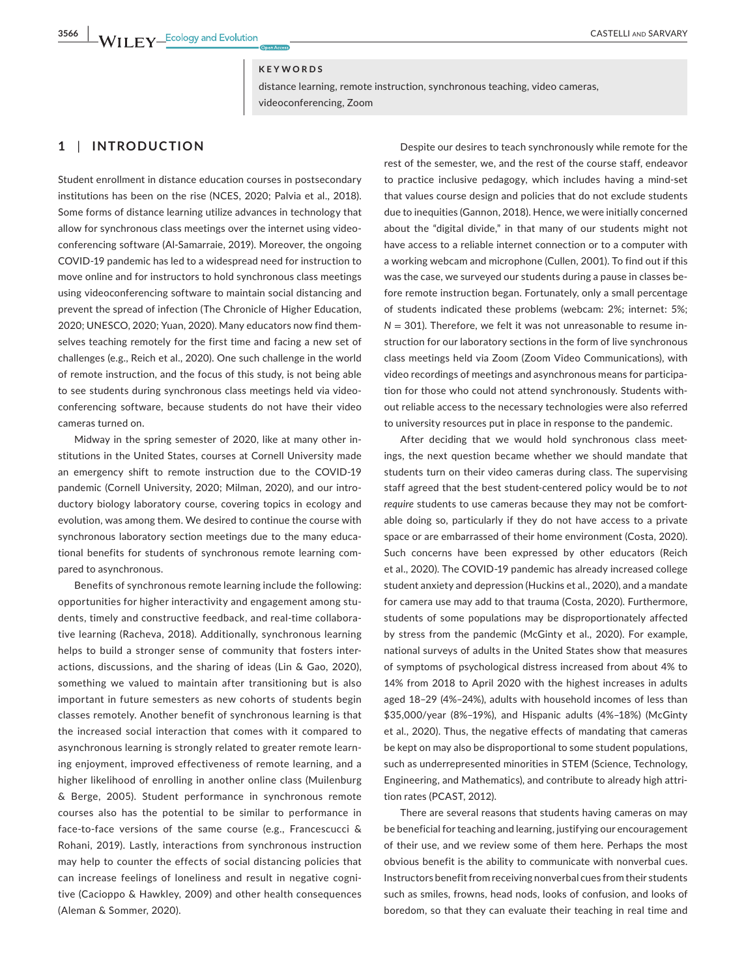### **KEYWORDS**

distance learning, remote instruction, synchronous teaching, video cameras, videoconferencing, Zoom

# **1** | **INTRODUCTION**

Student enrollment in distance education courses in postsecondary institutions has been on the rise (NCES, 2020; Palvia et al., 2018). Some forms of distance learning utilize advances in technology that allow for synchronous class meetings over the internet using videoconferencing software (Al-Samarraie, 2019). Moreover, the ongoing COVID-19 pandemic has led to a widespread need for instruction to move online and for instructors to hold synchronous class meetings using videoconferencing software to maintain social distancing and prevent the spread of infection (The Chronicle of Higher Education, 2020; UNESCO, 2020; Yuan, 2020). Many educators now find themselves teaching remotely for the first time and facing a new set of challenges (e.g., Reich et al., 2020). One such challenge in the world of remote instruction, and the focus of this study, is not being able to see students during synchronous class meetings held via videoconferencing software, because students do not have their video cameras turned on.

Midway in the spring semester of 2020, like at many other institutions in the United States, courses at Cornell University made an emergency shift to remote instruction due to the COVID-19 pandemic (Cornell University, 2020; Milman, 2020), and our introductory biology laboratory course, covering topics in ecology and evolution, was among them. We desired to continue the course with synchronous laboratory section meetings due to the many educational benefits for students of synchronous remote learning compared to asynchronous.

Benefits of synchronous remote learning include the following: opportunities for higher interactivity and engagement among students, timely and constructive feedback, and real-time collaborative learning (Racheva, 2018). Additionally, synchronous learning helps to build a stronger sense of community that fosters interactions, discussions, and the sharing of ideas (Lin & Gao, 2020), something we valued to maintain after transitioning but is also important in future semesters as new cohorts of students begin classes remotely. Another benefit of synchronous learning is that the increased social interaction that comes with it compared to asynchronous learning is strongly related to greater remote learning enjoyment, improved effectiveness of remote learning, and a higher likelihood of enrolling in another online class (Muilenburg & Berge, 2005). Student performance in synchronous remote courses also has the potential to be similar to performance in face-to-face versions of the same course (e.g., Francescucci & Rohani, 2019). Lastly, interactions from synchronous instruction may help to counter the effects of social distancing policies that can increase feelings of loneliness and result in negative cognitive (Cacioppo & Hawkley, 2009) and other health consequences (Aleman & Sommer, 2020).

Despite our desires to teach synchronously while remote for the rest of the semester, we, and the rest of the course staff, endeavor to practice inclusive pedagogy, which includes having a mind-set that values course design and policies that do not exclude students due to inequities (Gannon, 2018). Hence, we were initially concerned about the "digital divide," in that many of our students might not have access to a reliable internet connection or to a computer with a working webcam and microphone (Cullen, 2001). To find out if this was the case, we surveyed our students during a pause in classes before remote instruction began. Fortunately, only a small percentage of students indicated these problems (webcam: 2%; internet: 5%;  $N = 301$ ). Therefore, we felt it was not unreasonable to resume instruction for our laboratory sections in the form of live synchronous class meetings held via Zoom (Zoom Video Communications), with video recordings of meetings and asynchronous means for participation for those who could not attend synchronously. Students without reliable access to the necessary technologies were also referred to university resources put in place in response to the pandemic.

After deciding that we would hold synchronous class meetings, the next question became whether we should mandate that students turn on their video cameras during class. The supervising staff agreed that the best student-centered policy would be to *not require* students to use cameras because they may not be comfortable doing so, particularly if they do not have access to a private space or are embarrassed of their home environment (Costa, 2020). Such concerns have been expressed by other educators (Reich et al., 2020). The COVID-19 pandemic has already increased college student anxiety and depression (Huckins et al., 2020), and a mandate for camera use may add to that trauma (Costa, 2020). Furthermore, students of some populations may be disproportionately affected by stress from the pandemic (McGinty et al., 2020). For example, national surveys of adults in the United States show that measures of symptoms of psychological distress increased from about 4% to 14% from 2018 to April 2020 with the highest increases in adults aged 18–29 (4%–24%), adults with household incomes of less than \$35,000/year (8%–19%), and Hispanic adults (4%–18%) (McGinty et al., 2020). Thus, the negative effects of mandating that cameras be kept on may also be disproportional to some student populations, such as underrepresented minorities in STEM (Science, Technology, Engineering, and Mathematics), and contribute to already high attrition rates (PCAST, 2012).

There are several reasons that students having cameras on may be beneficial for teaching and learning, justifying our encouragement of their use, and we review some of them here. Perhaps the most obvious benefit is the ability to communicate with nonverbal cues. Instructors benefit from receiving nonverbal cues from their students such as smiles, frowns, head nods, looks of confusion, and looks of boredom, so that they can evaluate their teaching in real time and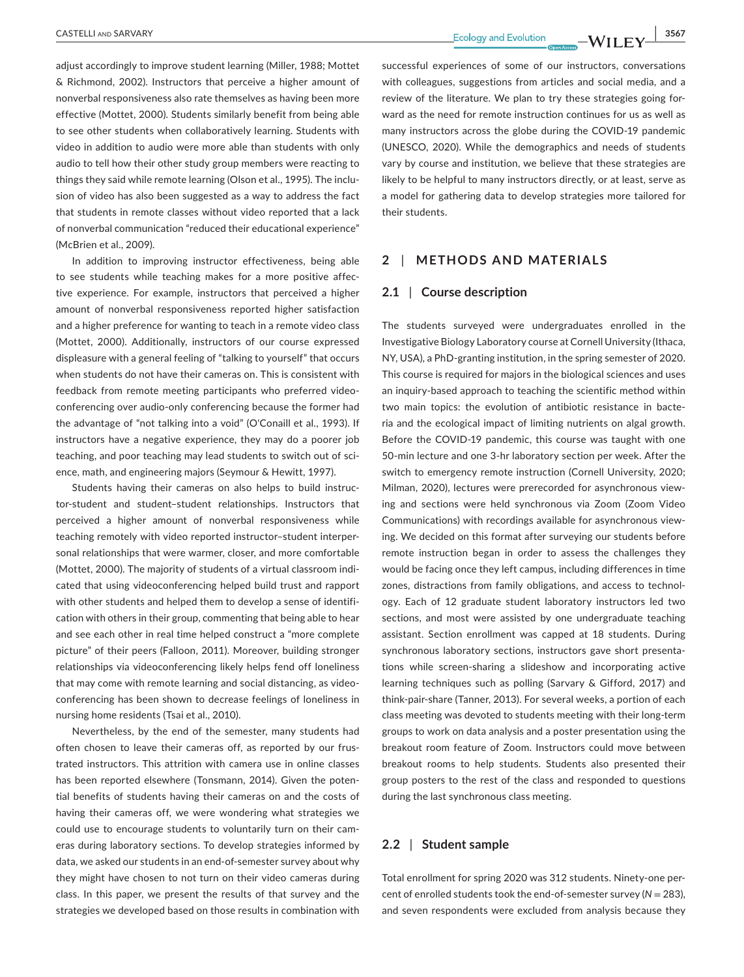adjust accordingly to improve student learning (Miller, 1988; Mottet & Richmond, 2002). Instructors that perceive a higher amount of nonverbal responsiveness also rate themselves as having been more effective (Mottet, 2000). Students similarly benefit from being able to see other students when collaboratively learning. Students with video in addition to audio were more able than students with only audio to tell how their other study group members were reacting to things they said while remote learning (Olson et al., 1995). The inclusion of video has also been suggested as a way to address the fact that students in remote classes without video reported that a lack of nonverbal communication "reduced their educational experience" (McBrien et al., 2009).

In addition to improving instructor effectiveness, being able to see students while teaching makes for a more positive affective experience. For example, instructors that perceived a higher amount of nonverbal responsiveness reported higher satisfaction and a higher preference for wanting to teach in a remote video class (Mottet, 2000). Additionally, instructors of our course expressed displeasure with a general feeling of "talking to yourself" that occurs when students do not have their cameras on. This is consistent with feedback from remote meeting participants who preferred videoconferencing over audio-only conferencing because the former had the advantage of "not talking into a void" (O'Conaill et al., 1993). If instructors have a negative experience, they may do a poorer job teaching, and poor teaching may lead students to switch out of science, math, and engineering majors (Seymour & Hewitt, 1997).

Students having their cameras on also helps to build instructor-student and student–student relationships. Instructors that perceived a higher amount of nonverbal responsiveness while teaching remotely with video reported instructor–student interpersonal relationships that were warmer, closer, and more comfortable (Mottet, 2000). The majority of students of a virtual classroom indicated that using videoconferencing helped build trust and rapport with other students and helped them to develop a sense of identification with others in their group, commenting that being able to hear and see each other in real time helped construct a "more complete picture" of their peers (Falloon, 2011). Moreover, building stronger relationships via videoconferencing likely helps fend off loneliness that may come with remote learning and social distancing, as videoconferencing has been shown to decrease feelings of loneliness in nursing home residents (Tsai et al., 2010).

Nevertheless, by the end of the semester, many students had often chosen to leave their cameras off, as reported by our frustrated instructors. This attrition with camera use in online classes has been reported elsewhere (Tonsmann, 2014). Given the potential benefits of students having their cameras on and the costs of having their cameras off, we were wondering what strategies we could use to encourage students to voluntarily turn on their cameras during laboratory sections. To develop strategies informed by data, we asked our students in an end-of-semester survey about why they might have chosen to not turn on their video cameras during class. In this paper, we present the results of that survey and the strategies we developed based on those results in combination with

successful experiences of some of our instructors, conversations with colleagues, suggestions from articles and social media, and a review of the literature. We plan to try these strategies going forward as the need for remote instruction continues for us as well as many instructors across the globe during the COVID-19 pandemic (UNESCO, 2020). While the demographics and needs of students vary by course and institution, we believe that these strategies are likely to be helpful to many instructors directly, or at least, serve as a model for gathering data to develop strategies more tailored for their students.

# **2** | **METHODS AND MATERIALS**

### **2.1** | **Course description**

The students surveyed were undergraduates enrolled in the Investigative Biology Laboratory course at Cornell University (Ithaca, NY, USA), a PhD-granting institution, in the spring semester of 2020. This course is required for majors in the biological sciences and uses an inquiry-based approach to teaching the scientific method within two main topics: the evolution of antibiotic resistance in bacteria and the ecological impact of limiting nutrients on algal growth. Before the COVID-19 pandemic, this course was taught with one 50-min lecture and one 3-hr laboratory section per week. After the switch to emergency remote instruction (Cornell University, 2020; Milman, 2020), lectures were prerecorded for asynchronous viewing and sections were held synchronous via Zoom (Zoom Video Communications) with recordings available for asynchronous viewing. We decided on this format after surveying our students before remote instruction began in order to assess the challenges they would be facing once they left campus, including differences in time zones, distractions from family obligations, and access to technology. Each of 12 graduate student laboratory instructors led two sections, and most were assisted by one undergraduate teaching assistant. Section enrollment was capped at 18 students. During synchronous laboratory sections, instructors gave short presentations while screen-sharing a slideshow and incorporating active learning techniques such as polling (Sarvary & Gifford, 2017) and think-pair-share (Tanner, 2013). For several weeks, a portion of each class meeting was devoted to students meeting with their long-term groups to work on data analysis and a poster presentation using the breakout room feature of Zoom. Instructors could move between breakout rooms to help students. Students also presented their group posters to the rest of the class and responded to questions during the last synchronous class meeting.

# **2.2** | **Student sample**

Total enrollment for spring 2020 was 312 students. Ninety-one percent of enrolled students took the end-of-semester survey (*N* = 283), and seven respondents were excluded from analysis because they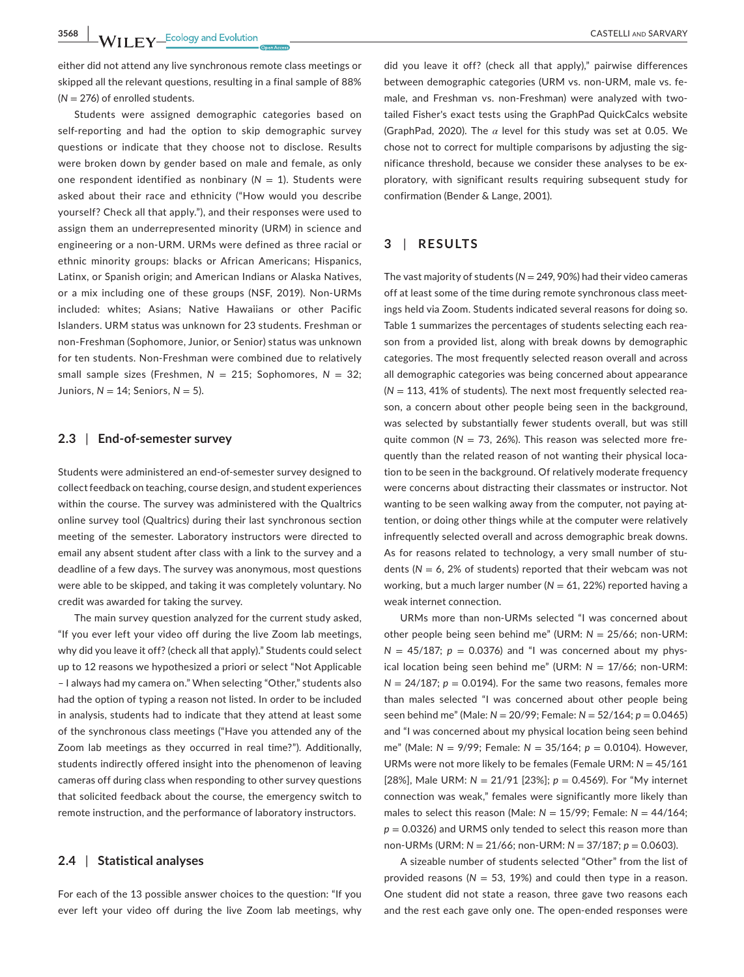**3568 WILEY** Ecology and Evolution **and SARVARY** CASTELLI AND SARVARY

either did not attend any live synchronous remote class meetings or skipped all the relevant questions, resulting in a final sample of 88% (*N* = 276) of enrolled students.

Students were assigned demographic categories based on self-reporting and had the option to skip demographic survey questions or indicate that they choose not to disclose. Results were broken down by gender based on male and female, as only one respondent identified as nonbinary  $(N = 1)$ . Students were asked about their race and ethnicity ("How would you describe yourself? Check all that apply."), and their responses were used to assign them an underrepresented minority (URM) in science and engineering or a non-URM. URMs were defined as three racial or ethnic minority groups: blacks or African Americans; Hispanics, Latinx, or Spanish origin; and American Indians or Alaska Natives, or a mix including one of these groups (NSF, 2019). Non-URMs included: whites; Asians; Native Hawaiians or other Pacific Islanders. URM status was unknown for 23 students. Freshman or non-Freshman (Sophomore, Junior, or Senior) status was unknown for ten students. Non-Freshman were combined due to relatively small sample sizes (Freshmen, *N* = 215; Sophomores, *N* = 32; Juniors, *N* = 14; Seniors, *N* = 5).

### **2.3** | **End-of-semester survey**

Students were administered an end-of-semester survey designed to collect feedback on teaching, course design, and student experiences within the course. The survey was administered with the Qualtrics online survey tool (Qualtrics) during their last synchronous section meeting of the semester. Laboratory instructors were directed to email any absent student after class with a link to the survey and a deadline of a few days. The survey was anonymous, most questions were able to be skipped, and taking it was completely voluntary. No credit was awarded for taking the survey.

The main survey question analyzed for the current study asked, "If you ever left your video off during the live Zoom lab meetings, why did you leave it off? (check all that apply)." Students could select up to 12 reasons we hypothesized a priori or select "Not Applicable – I always had my camera on." When selecting "Other," students also had the option of typing a reason not listed. In order to be included in analysis, students had to indicate that they attend at least some of the synchronous class meetings ("Have you attended any of the Zoom lab meetings as they occurred in real time?"). Additionally, students indirectly offered insight into the phenomenon of leaving cameras off during class when responding to other survey questions that solicited feedback about the course, the emergency switch to remote instruction, and the performance of laboratory instructors.

### **2.4** | **Statistical analyses**

For each of the 13 possible answer choices to the question: "If you ever left your video off during the live Zoom lab meetings, why

did you leave it off? (check all that apply)," pairwise differences between demographic categories (URM vs. non-URM, male vs. female, and Freshman vs. non-Freshman) were analyzed with twotailed Fisher's exact tests using the GraphPad QuickCalcs website (GraphPad, 2020). The *α* level for this study was set at 0.05. We chose not to correct for multiple comparisons by adjusting the significance threshold, because we consider these analyses to be exploratory, with significant results requiring subsequent study for confirmation (Bender & Lange, 2001).

### **3** | **RESULTS**

The vast majority of students (*N* = 249, 90%) had their video cameras off at least some of the time during remote synchronous class meetings held via Zoom. Students indicated several reasons for doing so. Table 1 summarizes the percentages of students selecting each reason from a provided list, along with break downs by demographic categories. The most frequently selected reason overall and across all demographic categories was being concerned about appearance  $(N = 113, 41\%$  of students). The next most frequently selected reason, a concern about other people being seen in the background, was selected by substantially fewer students overall, but was still quite common ( $N = 73$ , 26%). This reason was selected more frequently than the related reason of not wanting their physical location to be seen in the background. Of relatively moderate frequency were concerns about distracting their classmates or instructor. Not wanting to be seen walking away from the computer, not paying attention, or doing other things while at the computer were relatively infrequently selected overall and across demographic break downs. As for reasons related to technology, a very small number of students (*N* = 6, 2% of students) reported that their webcam was not working, but a much larger number  $(N = 61, 22%)$  reported having a weak internet connection.

URMs more than non-URMs selected "I was concerned about other people being seen behind me" (URM: *N* = 25/66; non-URM:  $N = 45/187$ ;  $p = 0.0376$ ) and "I was concerned about my physical location being seen behind me" (URM: *N* = 17/66; non-URM:  $N = 24/187$ ;  $p = 0.0194$ ). For the same two reasons, females more than males selected "I was concerned about other people being seen behind me" (Male: *N* = 20/99; Female: *N* = 52/164; *p* = 0.0465) and "I was concerned about my physical location being seen behind me" (Male: *N* = 9/99; Female: *N* = 35/164; *p* = 0.0104). However, URMs were not more likely to be females (Female URM: *N* = 45/161 [28%], Male URM: *N* = 21/91 [23%]; *p* = 0.4569). For "My internet connection was weak," females were significantly more likely than males to select this reason (Male: *N* = 15/99; Female: *N* = 44/164;  $p = 0.0326$ ) and URMS only tended to select this reason more than non-URMs (URM: *N* = 21/66; non-URM: *N* = 37/187; *p* = 0.0603).

A sizeable number of students selected "Other" from the list of provided reasons ( $N = 53$ , 19%) and could then type in a reason. One student did not state a reason, three gave two reasons each and the rest each gave only one. The open-ended responses were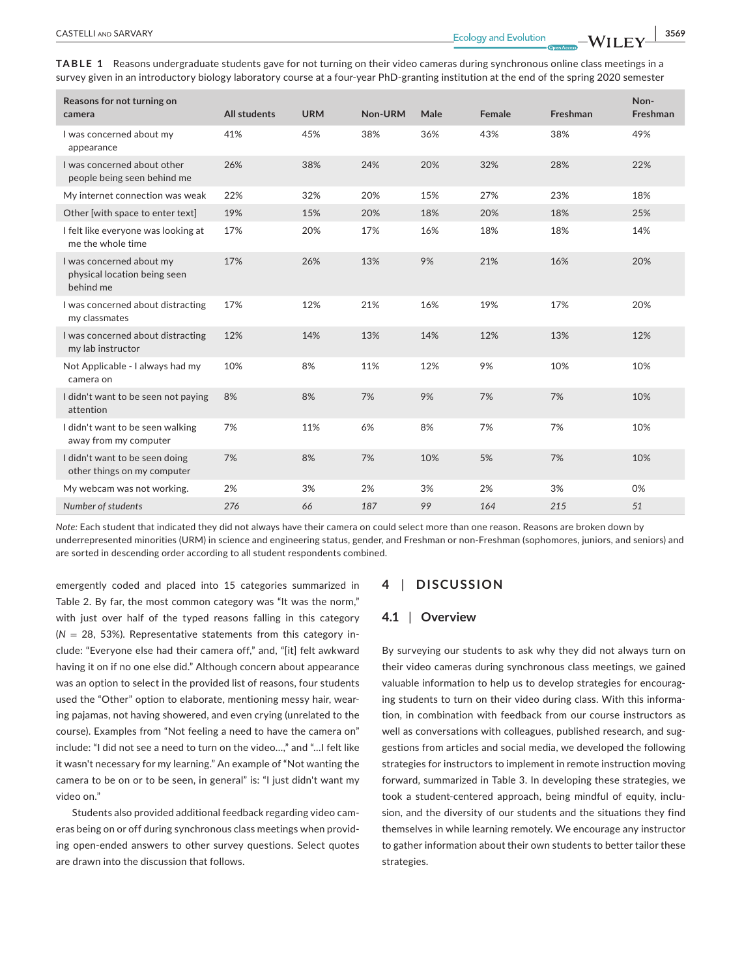**TABLE 1** Reasons undergraduate students gave for not turning on their video cameras during synchronous online class meetings in a survey given in an introductory biology laboratory course at a four-year PhD-granting institution at the end of the spring 2020 semester

| Reasons for not turning on<br>camera                                  | <b>All students</b> | <b>URM</b> | Non-URM | Male | Female | Freshman | Non-<br>Freshman |
|-----------------------------------------------------------------------|---------------------|------------|---------|------|--------|----------|------------------|
| I was concerned about my<br>appearance                                | 41%                 | 45%        | 38%     | 36%  | 43%    | 38%      | 49%              |
| I was concerned about other<br>people being seen behind me            | 26%                 | 38%        | 24%     | 20%  | 32%    | 28%      | 22%              |
| My internet connection was weak                                       | 22%                 | 32%        | 20%     | 15%  | 27%    | 23%      | 18%              |
| Other [with space to enter text]                                      | 19%                 | 15%        | 20%     | 18%  | 20%    | 18%      | 25%              |
| I felt like everyone was looking at<br>me the whole time              | 17%                 | 20%        | 17%     | 16%  | 18%    | 18%      | 14%              |
| I was concerned about my<br>physical location being seen<br>behind me | 17%                 | 26%        | 13%     | 9%   | 21%    | 16%      | 20%              |
| I was concerned about distracting<br>my classmates                    | 17%                 | 12%        | 21%     | 16%  | 19%    | 17%      | 20%              |
| I was concerned about distracting<br>my lab instructor                | 12%                 | 14%        | 13%     | 14%  | 12%    | 13%      | 12%              |
| Not Applicable - I always had my<br>camera on                         | 10%                 | 8%         | 11%     | 12%  | 9%     | 10%      | 10%              |
| I didn't want to be seen not paying<br>attention                      | 8%                  | 8%         | 7%      | 9%   | 7%     | 7%       | 10%              |
| I didn't want to be seen walking<br>away from my computer             | 7%                  | 11%        | 6%      | 8%   | 7%     | 7%       | 10%              |
| I didn't want to be seen doing<br>other things on my computer         | 7%                  | 8%         | 7%      | 10%  | 5%     | 7%       | 10%              |
| My webcam was not working.                                            | 2%                  | 3%         | 2%      | 3%   | 2%     | 3%       | 0%               |
| Number of students                                                    | 276                 | 66         | 187     | 99   | 164    | 215      | 51               |

*Note:* Each student that indicated they did not always have their camera on could select more than one reason. Reasons are broken down by underrepresented minorities (URM) in science and engineering status, gender, and Freshman or non-Freshman (sophomores, juniors, and seniors) and are sorted in descending order according to all student respondents combined.

emergently coded and placed into 15 categories summarized in Table 2. By far, the most common category was "It was the norm," with just over half of the typed reasons falling in this category  $(N = 28, 53%)$ . Representative statements from this category include: "Everyone else had their camera off," and, "[it] felt awkward having it on if no one else did." Although concern about appearance was an option to select in the provided list of reasons, four students used the "Other" option to elaborate, mentioning messy hair, wearing pajamas, not having showered, and even crying (unrelated to the course). Examples from "Not feeling a need to have the camera on" include: "I did not see a need to turn on the video…," and "…I felt like it wasn't necessary for my learning." An example of "Not wanting the camera to be on or to be seen, in general" is: "I just didn't want my video on."

Students also provided additional feedback regarding video cameras being on or off during synchronous class meetings when providing open-ended answers to other survey questions. Select quotes are drawn into the discussion that follows.

### **4** | **DISCUSSION**

## **4.1** | **Overview**

By surveying our students to ask why they did not always turn on their video cameras during synchronous class meetings, we gained valuable information to help us to develop strategies for encouraging students to turn on their video during class. With this information, in combination with feedback from our course instructors as well as conversations with colleagues, published research, and suggestions from articles and social media, we developed the following strategies for instructors to implement in remote instruction moving forward, summarized in Table 3. In developing these strategies, we took a student-centered approach, being mindful of equity, inclusion, and the diversity of our students and the situations they find themselves in while learning remotely. We encourage any instructor to gather information about their own students to better tailor these strategies.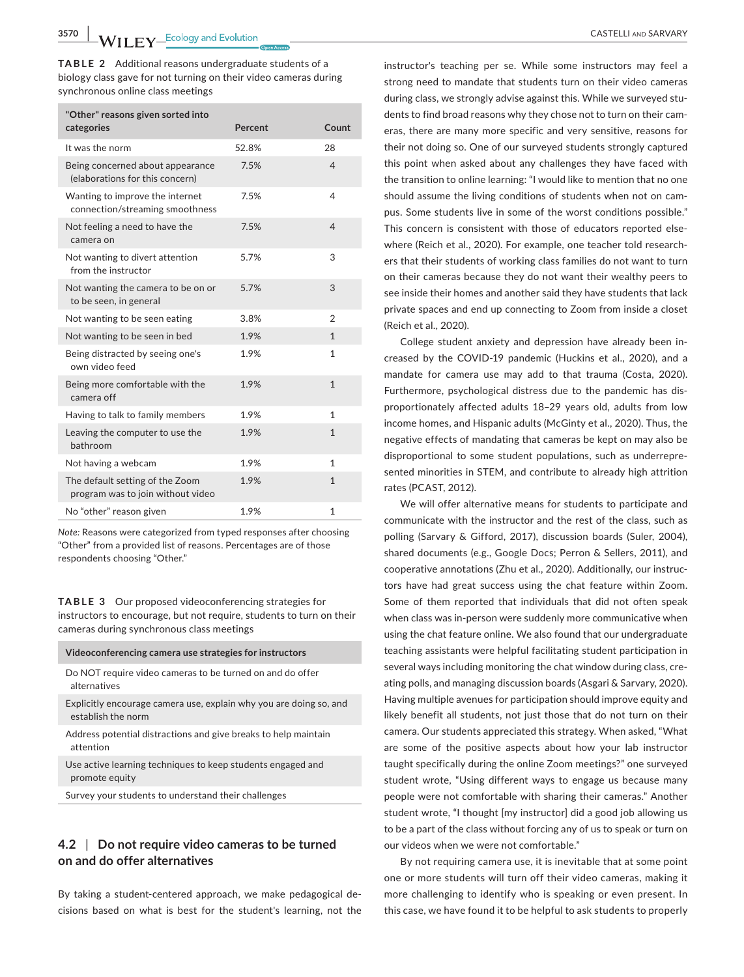**TABLE 2** Additional reasons undergraduate students of a biology class gave for not turning on their video cameras during synchronous online class meetings

| "Other" reasons given sorted into                                    |         |                |
|----------------------------------------------------------------------|---------|----------------|
| categories                                                           | Percent | Count          |
| It was the norm                                                      | 52.8%   | 28             |
| Being concerned about appearance<br>(elaborations for this concern)  | 7.5%    | $\overline{4}$ |
| Wanting to improve the internet<br>connection/streaming smoothness   | 7.5%    | 4              |
| Not feeling a need to have the<br>camera on                          | 7.5%    | $\overline{4}$ |
| Not wanting to divert attention<br>from the instructor               | 5.7%    | 3              |
| Not wanting the camera to be on or<br>to be seen, in general         | 5.7%    | 3              |
| Not wanting to be seen eating                                        | 3.8%    | $\overline{2}$ |
| Not wanting to be seen in bed                                        | 1.9%    | $\mathbf{1}$   |
| Being distracted by seeing one's<br>own video feed                   | 1.9%    | $\mathbf{1}$   |
| Being more comfortable with the<br>camera off                        | 1.9%    | $\mathbf{1}$   |
| Having to talk to family members                                     | 1.9%    | $\mathbf{1}$   |
| Leaving the computer to use the<br>bathroom                          | 1.9%    | $\mathbf{1}$   |
| Not having a webcam                                                  | 1.9%    | $\mathbf{1}$   |
| The default setting of the Zoom<br>program was to join without video | 1.9%    | $\mathbf{1}$   |
| No "other" reason given                                              | 1.9%    | $\mathbf{1}$   |

*Note:* Reasons were categorized from typed responses after choosing "Other" from a provided list of reasons. Percentages are of those respondents choosing "Other."

**TABLE 3**  Our proposed videoconferencing strategies for instructors to encourage, but not require, students to turn on their cameras during synchronous class meetings

#### **Videoconferencing camera use strategies for instructors**

Do NOT require video cameras to be turned on and do offer alternatives

Explicitly encourage camera use, explain why you are doing so, and establish the norm

Address potential distractions and give breaks to help maintain attention

Use active learning techniques to keep students engaged and promote equity

Survey your students to understand their challenges

# **4.2** | **Do not require video cameras to be turned on and do offer alternatives**

By taking a student-centered approach, we make pedagogical decisions based on what is best for the student's learning, not the

instructor's teaching per se. While some instructors may feel a strong need to mandate that students turn on their video cameras during class, we strongly advise against this. While we surveyed students to find broad reasons why they chose not to turn on their cameras, there are many more specific and very sensitive, reasons for their not doing so. One of our surveyed students strongly captured this point when asked about any challenges they have faced with the transition to online learning: "I would like to mention that no one should assume the living conditions of students when not on campus. Some students live in some of the worst conditions possible." This concern is consistent with those of educators reported elsewhere (Reich et al., 2020). For example, one teacher told researchers that their students of working class families do not want to turn on their cameras because they do not want their wealthy peers to see inside their homes and another said they have students that lack private spaces and end up connecting to Zoom from inside a closet (Reich et al., 2020).

College student anxiety and depression have already been increased by the COVID-19 pandemic (Huckins et al., 2020), and a mandate for camera use may add to that trauma (Costa, 2020). Furthermore, psychological distress due to the pandemic has disproportionately affected adults 18–29 years old, adults from low income homes, and Hispanic adults (McGinty et al., 2020). Thus, the negative effects of mandating that cameras be kept on may also be disproportional to some student populations, such as underrepresented minorities in STEM, and contribute to already high attrition rates (PCAST, 2012).

We will offer alternative means for students to participate and communicate with the instructor and the rest of the class, such as polling (Sarvary & Gifford, 2017), discussion boards (Suler, 2004), shared documents (e.g., Google Docs; Perron & Sellers, 2011), and cooperative annotations (Zhu et al., 2020). Additionally, our instructors have had great success using the chat feature within Zoom. Some of them reported that individuals that did not often speak when class was in-person were suddenly more communicative when using the chat feature online. We also found that our undergraduate teaching assistants were helpful facilitating student participation in several ways including monitoring the chat window during class, creating polls, and managing discussion boards (Asgari & Sarvary, 2020). Having multiple avenues for participation should improve equity and likely benefit all students, not just those that do not turn on their camera. Our students appreciated this strategy. When asked, "What are some of the positive aspects about how your lab instructor taught specifically during the online Zoom meetings?" one surveyed student wrote, "Using different ways to engage us because many people were not comfortable with sharing their cameras." Another student wrote, "I thought [my instructor] did a good job allowing us to be a part of the class without forcing any of us to speak or turn on our videos when we were not comfortable."

By not requiring camera use, it is inevitable that at some point one or more students will turn off their video cameras, making it more challenging to identify who is speaking or even present. In this case, we have found it to be helpful to ask students to properly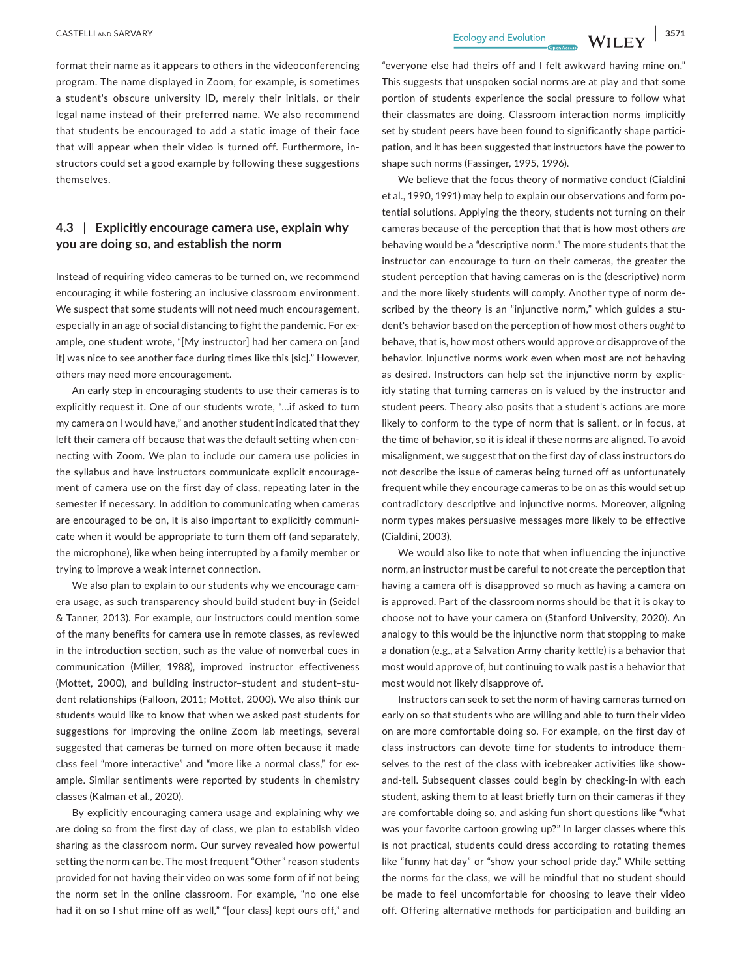format their name as it appears to others in the videoconferencing program. The name displayed in Zoom, for example, is sometimes a student's obscure university ID, merely their initials, or their legal name instead of their preferred name. We also recommend that students be encouraged to add a static image of their face that will appear when their video is turned off. Furthermore, instructors could set a good example by following these suggestions themselves.

# **4.3** | **Explicitly encourage camera use, explain why you are doing so, and establish the norm**

Instead of requiring video cameras to be turned on, we recommend encouraging it while fostering an inclusive classroom environment. We suspect that some students will not need much encouragement, especially in an age of social distancing to fight the pandemic. For example, one student wrote, "[My instructor] had her camera on [and it] was nice to see another face during times like this [sic]." However, others may need more encouragement.

An early step in encouraging students to use their cameras is to explicitly request it. One of our students wrote, "…if asked to turn my camera on I would have," and another student indicated that they left their camera off because that was the default setting when connecting with Zoom. We plan to include our camera use policies in the syllabus and have instructors communicate explicit encouragement of camera use on the first day of class, repeating later in the semester if necessary. In addition to communicating when cameras are encouraged to be on, it is also important to explicitly communicate when it would be appropriate to turn them off (and separately, the microphone), like when being interrupted by a family member or trying to improve a weak internet connection.

We also plan to explain to our students why we encourage camera usage, as such transparency should build student buy-in (Seidel & Tanner, 2013). For example, our instructors could mention some of the many benefits for camera use in remote classes, as reviewed in the introduction section, such as the value of nonverbal cues in communication (Miller, 1988), improved instructor effectiveness (Mottet, 2000), and building instructor–student and student–student relationships (Falloon, 2011; Mottet, 2000). We also think our students would like to know that when we asked past students for suggestions for improving the online Zoom lab meetings, several suggested that cameras be turned on more often because it made class feel "more interactive" and "more like a normal class," for example. Similar sentiments were reported by students in chemistry classes (Kalman et al., 2020).

By explicitly encouraging camera usage and explaining why we are doing so from the first day of class, we plan to establish video sharing as the classroom norm. Our survey revealed how powerful setting the norm can be. The most frequent "Other" reason students provided for not having their video on was some form of if not being the norm set in the online classroom. For example, "no one else had it on so I shut mine off as well," "[our class] kept ours off," and

"everyone else had theirs off and I felt awkward having mine on." This suggests that unspoken social norms are at play and that some portion of students experience the social pressure to follow what their classmates are doing. Classroom interaction norms implicitly set by student peers have been found to significantly shape participation, and it has been suggested that instructors have the power to shape such norms (Fassinger, 1995, 1996).

We believe that the focus theory of normative conduct (Cialdini et al., 1990, 1991) may help to explain our observations and form potential solutions. Applying the theory, students not turning on their cameras because of the perception that that is how most others *are* behaving would be a "descriptive norm." The more students that the instructor can encourage to turn on their cameras, the greater the student perception that having cameras on is the (descriptive) norm and the more likely students will comply. Another type of norm described by the theory is an "injunctive norm," which guides a student's behavior based on the perception of how most others *ought* to behave, that is, how most others would approve or disapprove of the behavior. Injunctive norms work even when most are not behaving as desired. Instructors can help set the injunctive norm by explicitly stating that turning cameras on is valued by the instructor and student peers. Theory also posits that a student's actions are more likely to conform to the type of norm that is salient, or in focus, at the time of behavior, so it is ideal if these norms are aligned. To avoid misalignment, we suggest that on the first day of class instructors do not describe the issue of cameras being turned off as unfortunately frequent while they encourage cameras to be on as this would set up contradictory descriptive and injunctive norms. Moreover, aligning norm types makes persuasive messages more likely to be effective (Cialdini, 2003).

We would also like to note that when influencing the injunctive norm, an instructor must be careful to not create the perception that having a camera off is disapproved so much as having a camera on is approved. Part of the classroom norms should be that it is okay to choose not to have your camera on (Stanford University, 2020). An analogy to this would be the injunctive norm that stopping to make a donation (e.g., at a Salvation Army charity kettle) is a behavior that most would approve of, but continuing to walk past is a behavior that most would not likely disapprove of.

Instructors can seek to set the norm of having cameras turned on early on so that students who are willing and able to turn their video on are more comfortable doing so. For example, on the first day of class instructors can devote time for students to introduce themselves to the rest of the class with icebreaker activities like showand-tell. Subsequent classes could begin by checking-in with each student, asking them to at least briefly turn on their cameras if they are comfortable doing so, and asking fun short questions like "what was your favorite cartoon growing up?" In larger classes where this is not practical, students could dress according to rotating themes like "funny hat day" or "show your school pride day." While setting the norms for the class, we will be mindful that no student should be made to feel uncomfortable for choosing to leave their video off. Offering alternative methods for participation and building an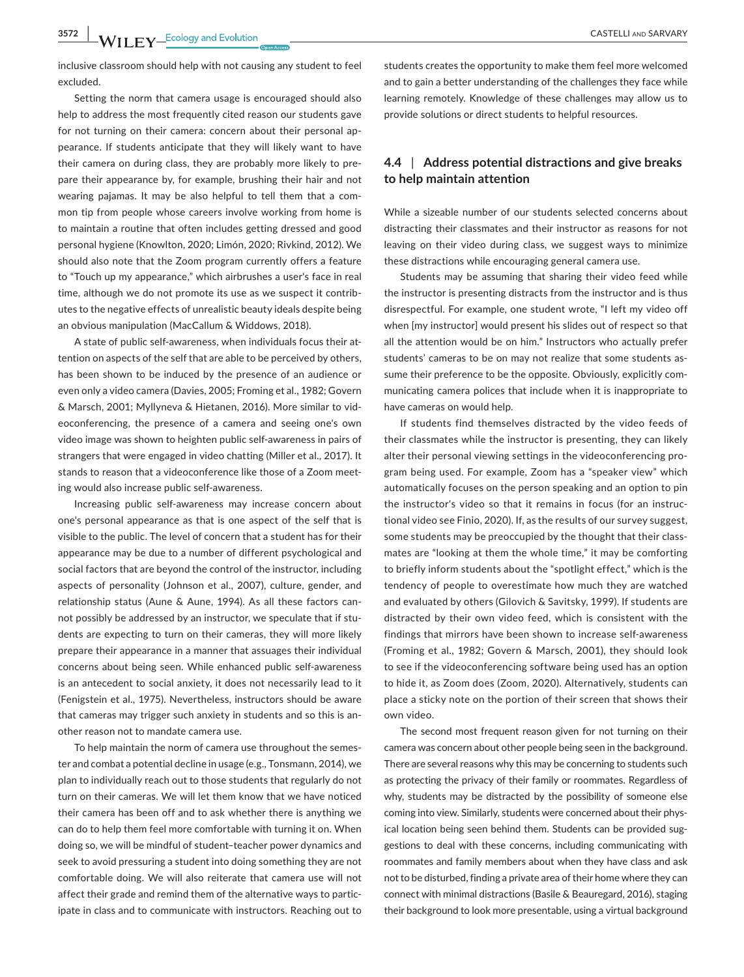inclusive classroom should help with not causing any student to feel excluded.

Setting the norm that camera usage is encouraged should also help to address the most frequently cited reason our students gave for not turning on their camera: concern about their personal appearance. If students anticipate that they will likely want to have their camera on during class, they are probably more likely to prepare their appearance by, for example, brushing their hair and not wearing pajamas. It may be also helpful to tell them that a common tip from people whose careers involve working from home is to maintain a routine that often includes getting dressed and good personal hygiene (Knowlton, 2020; Limón, 2020; Rivkind, 2012). We should also note that the Zoom program currently offers a feature to "Touch up my appearance," which airbrushes a user's face in real time, although we do not promote its use as we suspect it contributes to the negative effects of unrealistic beauty ideals despite being an obvious manipulation (MacCallum & Widdows, 2018).

A state of public self-awareness, when individuals focus their attention on aspects of the self that are able to be perceived by others, has been shown to be induced by the presence of an audience or even only a video camera (Davies, 2005; Froming et al., 1982; Govern & Marsch, 2001; Myllyneva & Hietanen, 2016). More similar to videoconferencing, the presence of a camera and seeing one's own video image was shown to heighten public self-awareness in pairs of strangers that were engaged in video chatting (Miller et al., 2017). It stands to reason that a videoconference like those of a Zoom meeting would also increase public self-awareness.

Increasing public self-awareness may increase concern about one's personal appearance as that is one aspect of the self that is visible to the public. The level of concern that a student has for their appearance may be due to a number of different psychological and social factors that are beyond the control of the instructor, including aspects of personality (Johnson et al., 2007), culture, gender, and relationship status (Aune & Aune, 1994). As all these factors cannot possibly be addressed by an instructor, we speculate that if students are expecting to turn on their cameras, they will more likely prepare their appearance in a manner that assuages their individual concerns about being seen. While enhanced public self-awareness is an antecedent to social anxiety, it does not necessarily lead to it (Fenigstein et al., 1975). Nevertheless, instructors should be aware that cameras may trigger such anxiety in students and so this is another reason not to mandate camera use.

To help maintain the norm of camera use throughout the semester and combat a potential decline in usage (e.g., Tonsmann, 2014), we plan to individually reach out to those students that regularly do not turn on their cameras. We will let them know that we have noticed their camera has been off and to ask whether there is anything we can do to help them feel more comfortable with turning it on. When doing so, we will be mindful of student–teacher power dynamics and seek to avoid pressuring a student into doing something they are not comfortable doing. We will also reiterate that camera use will not affect their grade and remind them of the alternative ways to participate in class and to communicate with instructors. Reaching out to

students creates the opportunity to make them feel more welcomed and to gain a better understanding of the challenges they face while learning remotely. Knowledge of these challenges may allow us to provide solutions or direct students to helpful resources.

# **4.4** | **Address potential distractions and give breaks to help maintain attention**

While a sizeable number of our students selected concerns about distracting their classmates and their instructor as reasons for not leaving on their video during class, we suggest ways to minimize these distractions while encouraging general camera use.

Students may be assuming that sharing their video feed while the instructor is presenting distracts from the instructor and is thus disrespectful. For example, one student wrote, "I left my video off when [my instructor] would present his slides out of respect so that all the attention would be on him." Instructors who actually prefer students' cameras to be on may not realize that some students assume their preference to be the opposite. Obviously, explicitly communicating camera polices that include when it is inappropriate to have cameras on would help.

If students find themselves distracted by the video feeds of their classmates while the instructor is presenting, they can likely alter their personal viewing settings in the videoconferencing program being used. For example, Zoom has a "speaker view" which automatically focuses on the person speaking and an option to pin the instructor's video so that it remains in focus (for an instructional video see Finio, 2020). If, as the results of our survey suggest, some students may be preoccupied by the thought that their classmates are "looking at them the whole time," it may be comforting to briefly inform students about the "spotlight effect," which is the tendency of people to overestimate how much they are watched and evaluated by others (Gilovich & Savitsky, 1999). If students are distracted by their own video feed, which is consistent with the findings that mirrors have been shown to increase self-awareness (Froming et al., 1982; Govern & Marsch, 2001), they should look to see if the videoconferencing software being used has an option to hide it, as Zoom does (Zoom, 2020). Alternatively, students can place a sticky note on the portion of their screen that shows their own video.

The second most frequent reason given for not turning on their camera was concern about other people being seen in the background. There are several reasons why this may be concerning to students such as protecting the privacy of their family or roommates. Regardless of why, students may be distracted by the possibility of someone else coming into view. Similarly, students were concerned about their physical location being seen behind them. Students can be provided suggestions to deal with these concerns, including communicating with roommates and family members about when they have class and ask not to be disturbed, finding a private area of their home where they can connect with minimal distractions (Basile & Beauregard, 2016), staging their background to look more presentable, using a virtual background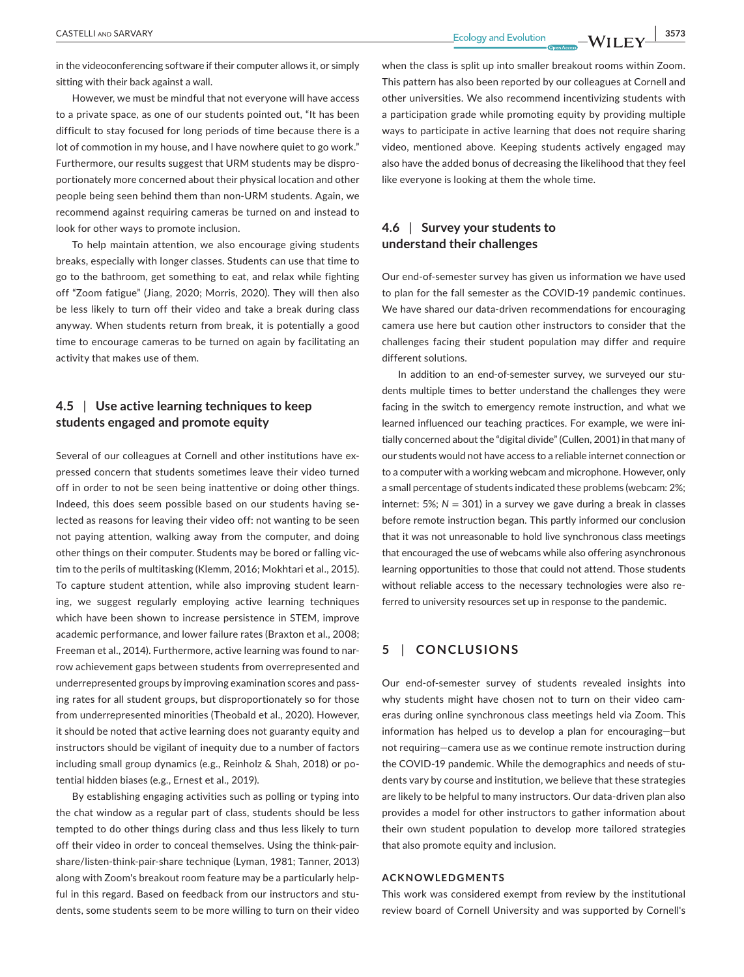**CASTELLI** AND SARVARY **3573**<br>**Ecology** and Evolution **10/11**  $\mathbf{N}$  **3573** 

in the videoconferencing software if their computer allows it, or simply sitting with their back against a wall.

However, we must be mindful that not everyone will have access to a private space, as one of our students pointed out, "It has been difficult to stay focused for long periods of time because there is a lot of commotion in my house, and I have nowhere quiet to go work." Furthermore, our results suggest that URM students may be disproportionately more concerned about their physical location and other people being seen behind them than non-URM students. Again, we recommend against requiring cameras be turned on and instead to look for other ways to promote inclusion.

To help maintain attention, we also encourage giving students breaks, especially with longer classes. Students can use that time to go to the bathroom, get something to eat, and relax while fighting off "Zoom fatigue" (Jiang, 2020; Morris, 2020). They will then also be less likely to turn off their video and take a break during class anyway. When students return from break, it is potentially a good time to encourage cameras to be turned on again by facilitating an activity that makes use of them.

# **4.5** | **Use active learning techniques to keep students engaged and promote equity**

Several of our colleagues at Cornell and other institutions have expressed concern that students sometimes leave their video turned off in order to not be seen being inattentive or doing other things. Indeed, this does seem possible based on our students having selected as reasons for leaving their video off: not wanting to be seen not paying attention, walking away from the computer, and doing other things on their computer. Students may be bored or falling victim to the perils of multitasking (Klemm, 2016; Mokhtari et al., 2015). To capture student attention, while also improving student learning, we suggest regularly employing active learning techniques which have been shown to increase persistence in STEM, improve academic performance, and lower failure rates (Braxton et al., 2008; Freeman et al., 2014). Furthermore, active learning was found to narrow achievement gaps between students from overrepresented and underrepresented groups by improving examination scores and passing rates for all student groups, but disproportionately so for those from underrepresented minorities (Theobald et al., 2020). However, it should be noted that active learning does not guaranty equity and instructors should be vigilant of inequity due to a number of factors including small group dynamics (e.g., Reinholz & Shah, 2018) or potential hidden biases (e.g., Ernest et al., 2019).

By establishing engaging activities such as polling or typing into the chat window as a regular part of class, students should be less tempted to do other things during class and thus less likely to turn off their video in order to conceal themselves. Using the think-pairshare/listen-think-pair-share technique (Lyman, 1981; Tanner, 2013) along with Zoom's breakout room feature may be a particularly helpful in this regard. Based on feedback from our instructors and students, some students seem to be more willing to turn on their video

when the class is split up into smaller breakout rooms within Zoom. This pattern has also been reported by our colleagues at Cornell and other universities. We also recommend incentivizing students with a participation grade while promoting equity by providing multiple ways to participate in active learning that does not require sharing video, mentioned above. Keeping students actively engaged may also have the added bonus of decreasing the likelihood that they feel like everyone is looking at them the whole time.

# **4.6** | **Survey your students to understand their challenges**

Our end-of-semester survey has given us information we have used to plan for the fall semester as the COVID-19 pandemic continues. We have shared our data-driven recommendations for encouraging camera use here but caution other instructors to consider that the challenges facing their student population may differ and require different solutions.

In addition to an end-of-semester survey, we surveyed our students multiple times to better understand the challenges they were facing in the switch to emergency remote instruction, and what we learned influenced our teaching practices. For example, we were initially concerned about the "digital divide" (Cullen, 2001) in that many of our students would not have access to a reliable internet connection or to a computer with a working webcam and microphone. However, only a small percentage of students indicated these problems (webcam: 2%; internet: 5%;  $N = 301$ ) in a survey we gave during a break in classes before remote instruction began. This partly informed our conclusion that it was not unreasonable to hold live synchronous class meetings that encouraged the use of webcams while also offering asynchronous learning opportunities to those that could not attend. Those students without reliable access to the necessary technologies were also referred to university resources set up in response to the pandemic.

# **5** | **CONCLUSIONS**

Our end-of-semester survey of students revealed insights into why students might have chosen not to turn on their video cameras during online synchronous class meetings held via Zoom. This information has helped us to develop a plan for encouraging—but not requiring—camera use as we continue remote instruction during the COVID-19 pandemic. While the demographics and needs of students vary by course and institution, we believe that these strategies are likely to be helpful to many instructors. Our data-driven plan also provides a model for other instructors to gather information about their own student population to develop more tailored strategies that also promote equity and inclusion.

#### **ACKNOWLEDGMENTS**

This work was considered exempt from review by the institutional review board of Cornell University and was supported by Cornell's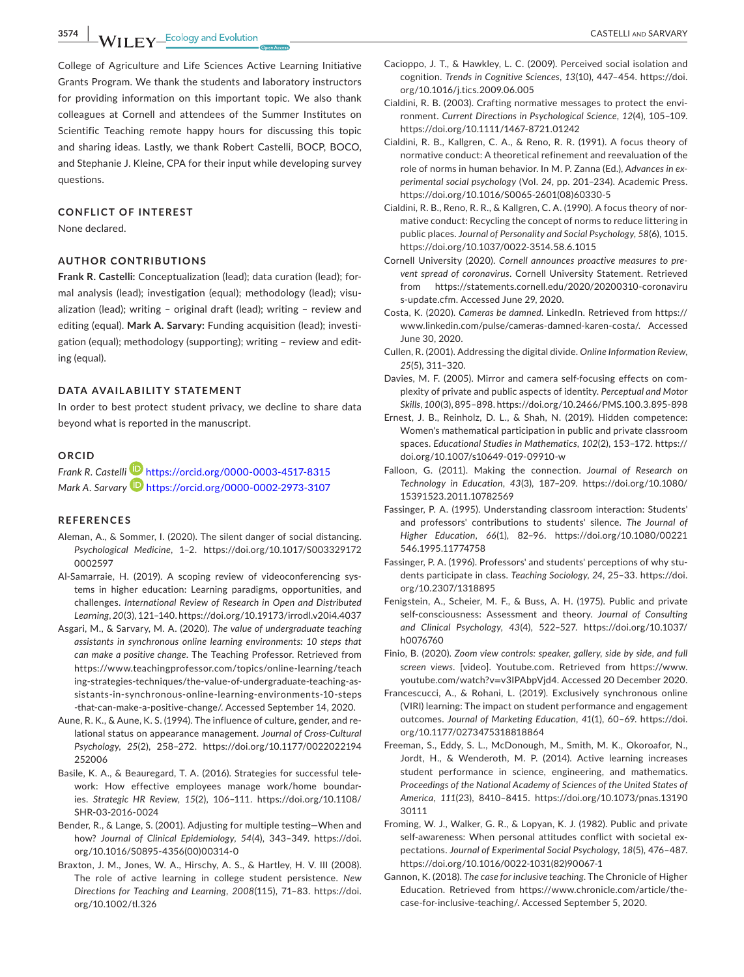**3574 MILEV** Ecology and Evolution **CASTELLI AND SARVARY** 

College of Agriculture and Life Sciences Active Learning Initiative Grants Program. We thank the students and laboratory instructors for providing information on this important topic. We also thank colleagues at Cornell and attendees of the Summer Institutes on Scientific Teaching remote happy hours for discussing this topic and sharing ideas. Lastly, we thank Robert Castelli, BOCP, BOCO, and Stephanie J. Kleine, CPA for their input while developing survey questions.

## **CONFLICT OF INTEREST**

None declared.

#### **AUTHOR CONTRIBUTIONS**

**Frank R. Castelli:** Conceptualization (lead); data curation (lead); formal analysis (lead); investigation (equal); methodology (lead); visualization (lead); writing – original draft (lead); writing – review and editing (equal). **Mark A. Sarvary:** Funding acquisition (lead); investigation (equal); methodology (supporting); writing – review and editing (equal).

### **DATA AVAILABILITY STATEMENT**

In order to best protect student privacy, we decline to share data beyond what is reported in the manuscript.

### **ORCID**

*Frank R. Castell[i](https://orcid.org/0000-0003-4517-8315)* <https://orcid.org/0000-0003-4517-8315> *Mark A. Sarvary* <https://orcid.org/0000-0002-2973-3107>

#### **REFERENCES**

- Aleman, A., & Sommer, I. (2020). The silent danger of social distancing. *Psychological Medicine*, 1–2. [https://doi.org/10.1017/S003329172](https://doi.org/10.1017/S0033291720002597) [0002597](https://doi.org/10.1017/S0033291720002597)
- Al-Samarraie, H. (2019). A scoping review of videoconferencing systems in higher education: Learning paradigms, opportunities, and challenges. *International Review of Research in Open and Distributed Learning*, *20*(3), 121–140.<https://doi.org/10.19173/irrodl.v20i4.4037>
- Asgari, M., & Sarvary, M. A. (2020). *The value of undergraduate teaching assistants in synchronous online learning environments: 10 steps that can make a positive change*. The Teaching Professor. Retrieved from [https://www.teachingprofessor.com/topics/online-learning/teach](https://www.teachingprofessor.com/topics/online-learning/teaching-strategies-techniques/the-value-of-undergraduate-teaching-assistants-in-synchronous-online-learning-environments-10-steps-that-can-make-a-positive-change/) [ing-strategies-techniques/the-value-of-undergraduate-teaching-as](https://www.teachingprofessor.com/topics/online-learning/teaching-strategies-techniques/the-value-of-undergraduate-teaching-assistants-in-synchronous-online-learning-environments-10-steps-that-can-make-a-positive-change/)[sistants-in-synchronous-online-learning-environments-10-steps](https://www.teachingprofessor.com/topics/online-learning/teaching-strategies-techniques/the-value-of-undergraduate-teaching-assistants-in-synchronous-online-learning-environments-10-steps-that-can-make-a-positive-change/) [-that-can-make-a-positive-change/.](https://www.teachingprofessor.com/topics/online-learning/teaching-strategies-techniques/the-value-of-undergraduate-teaching-assistants-in-synchronous-online-learning-environments-10-steps-that-can-make-a-positive-change/) Accessed September 14, 2020.
- Aune, R. K., & Aune, K. S. (1994). The influence of culture, gender, and relational status on appearance management. *Journal of Cross-Cultural Psychology*, *25*(2), 258–272. [https://doi.org/10.1177/0022022194](https://doi.org/10.1177/0022022194252006) [252006](https://doi.org/10.1177/0022022194252006)
- Basile, K. A., & Beauregard, T. A. (2016). Strategies for successful telework: How effective employees manage work/home boundaries. *Strategic HR Review*, *15*(2), 106–111. [https://doi.org/10.1108/](https://doi.org/10.1108/SHR-03-2016-0024) [SHR-03-2016-0024](https://doi.org/10.1108/SHR-03-2016-0024)
- Bender, R., & Lange, S. (2001). Adjusting for multiple testing—When and how? *Journal of Clinical Epidemiology*, *54*(4), 343–349. [https://doi.](https://doi.org/10.1016/S0895-4356(00)00314-0) [org/10.1016/S0895-4356\(00\)00314-0](https://doi.org/10.1016/S0895-4356(00)00314-0)
- Braxton, J. M., Jones, W. A., Hirschy, A. S., & Hartley, H. V. III (2008). The role of active learning in college student persistence. *New Directions for Teaching and Learning*, *2008*(115), 71–83. [https://doi.](https://doi.org/10.1002/tl.326) [org/10.1002/tl.326](https://doi.org/10.1002/tl.326)
- Cacioppo, J. T., & Hawkley, L. C. (2009). Perceived social isolation and cognition. *Trends in Cognitive Sciences*, *13*(10), 447–454. [https://doi.](https://doi.org/10.1016/j.tics.2009.06.005) [org/10.1016/j.tics.2009.06.005](https://doi.org/10.1016/j.tics.2009.06.005)
- Cialdini, R. B. (2003). Crafting normative messages to protect the environment. *Current Directions in Psychological Science*, *12*(4), 105–109. <https://doi.org/10.1111/1467-8721.01242>
- Cialdini, R. B., Kallgren, C. A., & Reno, R. R. (1991). A focus theory of normative conduct: A theoretical refinement and reevaluation of the role of norms in human behavior. In M. P. Zanna (Ed.), *Advances in experimental social psychology* (Vol. *24*, pp. 201–234). Academic Press. [https://doi.org/10.1016/S0065-2601\(08\)60330-5](https://doi.org/10.1016/S0065-2601(08)60330-5)
- Cialdini, R. B., Reno, R. R., & Kallgren, C. A. (1990). A focus theory of normative conduct: Recycling the concept of norms to reduce littering in public places. *Journal of Personality and Social Psychology*, *58*(6), 1015. <https://doi.org/10.1037/0022-3514.58.6.1015>
- Cornell University (2020). *Cornell announces proactive measures to prevent spread of coronavirus*. Cornell University Statement. Retrieved from [https://statements.cornell.edu/2020/20200310-coronaviru](https://statements.cornell.edu/2020/20200310-coronavirus-update.cfm) [s-update.cfm.](https://statements.cornell.edu/2020/20200310-coronavirus-update.cfm) Accessed June 29, 2020.
- Costa, K. (2020). *Cameras be damned*. LinkedIn. Retrieved from [https://](https://www.linkedin.com/pulse/cameras-damned-karen-costa/) [www.linkedin.com/pulse/cameras-damned-karen-costa/](https://www.linkedin.com/pulse/cameras-damned-karen-costa/). Accessed June 30, 2020.
- Cullen, R. (2001). Addressing the digital divide. *Online Information Review*, *25*(5), 311–320.
- Davies, M. F. (2005). Mirror and camera self-focusing effects on complexity of private and public aspects of identity. *Perceptual and Motor Skills*, *100*(3), 895–898.<https://doi.org/10.2466/PMS.100.3.895-898>
- Ernest, J. B., Reinholz, D. L., & Shah, N. (2019). Hidden competence: Women's mathematical participation in public and private classroom spaces. *Educational Studies in Mathematics*, *102*(2), 153–172. [https://](https://doi.org/10.1007/s10649-019-09910-w) [doi.org/10.1007/s10649-019-09910-w](https://doi.org/10.1007/s10649-019-09910-w)
- Falloon, G. (2011). Making the connection. *Journal of Research on Technology in Education*, *43*(3), 187–209. [https://doi.org/10.1080/](https://doi.org/10.1080/15391523.2011.10782569) [15391523.2011.10782569](https://doi.org/10.1080/15391523.2011.10782569)
- Fassinger, P. A. (1995). Understanding classroom interaction: Students' and professors' contributions to students' silence. *The Journal of Higher Education*, *66*(1), 82–96. [https://doi.org/10.1080/00221](https://doi.org/10.1080/00221546.1995.11774758) [546.1995.11774758](https://doi.org/10.1080/00221546.1995.11774758)
- Fassinger, P. A. (1996). Professors' and students' perceptions of why students participate in class. *Teaching Sociology*, *24*, 25–33. [https://doi.](https://doi.org/10.2307/1318895) [org/10.2307/1318895](https://doi.org/10.2307/1318895)
- Fenigstein, A., Scheier, M. F., & Buss, A. H. (1975). Public and private self-consciousness: Assessment and theory. *Journal of Consulting and Clinical Psychology*, *43*(4), 522–527. [https://doi.org/10.1037/](https://doi.org/10.1037/h0076760) [h0076760](https://doi.org/10.1037/h0076760)
- Finio, B. (2020). *Zoom view controls: speaker, gallery, side by side, and full screen views*. [video]. Youtube.com. Retrieved from [https://www.](http://www.youtube.com/watch?v=v3IPAbpVjd4) [youtube.com/watch?v](http://www.youtube.com/watch?v=v3IPAbpVjd4)=v3IPAbpVjd4. Accessed 20 December 2020.
- Francescucci, A., & Rohani, L. (2019). Exclusively synchronous online (VIRI) learning: The impact on student performance and engagement outcomes. *Journal of Marketing Education*, *41*(1), 60–69. [https://doi.](https://doi.org/10.1177/0273475318818864) [org/10.1177/0273475318818864](https://doi.org/10.1177/0273475318818864)
- Freeman, S., Eddy, S. L., McDonough, M., Smith, M. K., Okoroafor, N., Jordt, H., & Wenderoth, M. P. (2014). Active learning increases student performance in science, engineering, and mathematics. *Proceedings of the National Academy of Sciences of the United States of America*, *111*(23), 8410–8415. [https://doi.org/10.1073/pnas.13190](https://doi.org/10.1073/pnas.1319030111) [30111](https://doi.org/10.1073/pnas.1319030111)
- Froming, W. J., Walker, G. R., & Lopyan, K. J. (1982). Public and private self-awareness: When personal attitudes conflict with societal expectations. *Journal of Experimental Social Psychology*, *18*(5), 476–487. [https://doi.org/10.1016/0022-1031\(82\)90067-1](https://doi.org/10.1016/0022-1031(82)90067-1)
- Gannon, K. (2018). *The case for inclusive teaching*. The Chronicle of Higher Education. Retrieved from [https://www.chronicle.com/article/the](https://www.chronicle.com/article/the-case-for-inclusive-teaching/)[case-for-inclusive-teaching/](https://www.chronicle.com/article/the-case-for-inclusive-teaching/). Accessed September 5, 2020.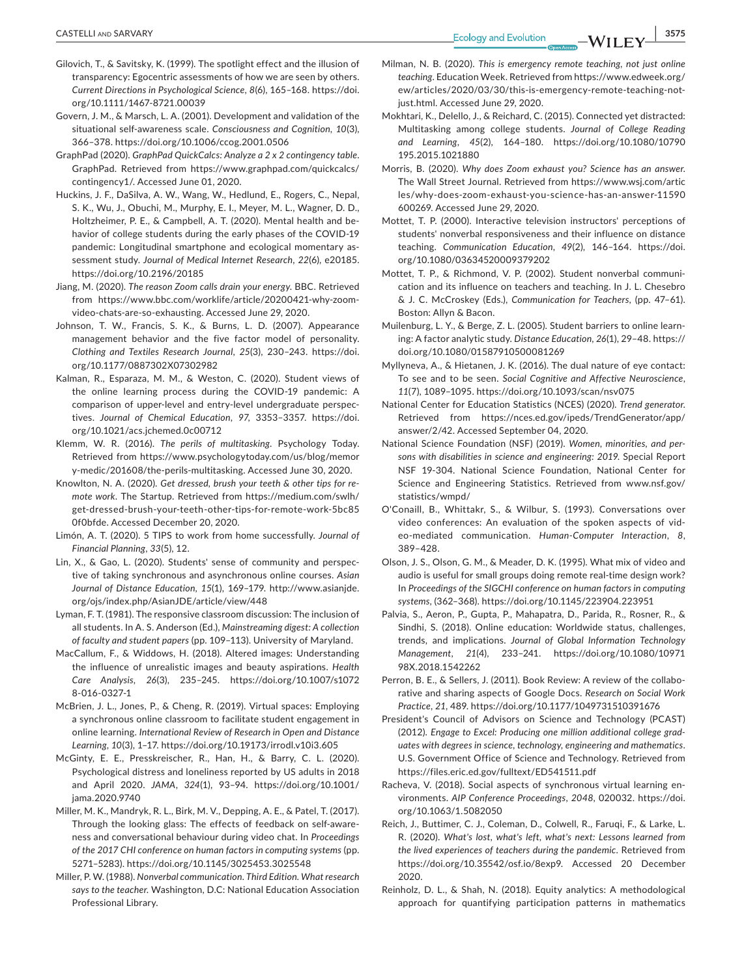- Gilovich, T., & Savitsky, K. (1999). The spotlight effect and the illusion of transparency: Egocentric assessments of how we are seen by others. *Current Directions in Psychological Science*, *8*(6), 165–168. [https://doi.](https://doi.org/10.1111/1467-8721.00039) [org/10.1111/1467-8721.00039](https://doi.org/10.1111/1467-8721.00039)
- Govern, J. M., & Marsch, L. A. (2001). Development and validation of the situational self-awareness scale. *Consciousness and Cognition*, *10*(3), 366–378.<https://doi.org/10.1006/ccog.2001.0506>
- GraphPad (2020). *GraphPad QuickCalcs: Analyze a 2 x 2 contingency table*. GraphPad. Retrieved from [https://www.graphpad.com/quickcalcs/](https://www.graphpad.com/quickcalcs/contingency1/) [contingency1/](https://www.graphpad.com/quickcalcs/contingency1/). Accessed June 01, 2020.
- Huckins, J. F., DaSilva, A. W., Wang, W., Hedlund, E., Rogers, C., Nepal, S. K., Wu, J., Obuchi, M., Murphy, E. I., Meyer, M. L., Wagner, D. D., Holtzheimer, P. E., & Campbell, A. T. (2020). Mental health and behavior of college students during the early phases of the COVID-19 pandemic: Longitudinal smartphone and ecological momentary assessment study. *Journal of Medical Internet Research*, *22*(6), e20185. <https://doi.org/10.2196/20185>
- Jiang, M. (2020). *The reason Zoom calls drain your energy*. BBC. Retrieved from [https://www.bbc.com/worklife/article/20200421-why-zoom](https://www.bbc.com/worklife/article/20200421-why-zoom-video-chats-are-so-exhausting)[video-chats-are-so-exhausting](https://www.bbc.com/worklife/article/20200421-why-zoom-video-chats-are-so-exhausting). Accessed June 29, 2020.
- Johnson, T. W., Francis, S. K., & Burns, L. D. (2007). Appearance management behavior and the five factor model of personality. *Clothing and Textiles Research Journal*, *25*(3), 230–243. [https://doi.](https://doi.org/10.1177/0887302X07302982) [org/10.1177/0887302X07302982](https://doi.org/10.1177/0887302X07302982)
- Kalman, R., Esparaza, M. M., & Weston, C. (2020). Student views of the online learning process during the COVID-19 pandemic: A comparison of upper-level and entry-level undergraduate perspectives. *Journal of Chemical Education*, *97*, 3353–3357. [https://doi.](https://doi.org/10.1021/acs.jchemed.0c00712) [org/10.1021/acs.jchemed.0c00712](https://doi.org/10.1021/acs.jchemed.0c00712)
- Klemm, W. R. (2016). *The perils of multitasking*. Psychology Today. Retrieved from [https://www.psychologytoday.com/us/blog/memor](https://www.psychologytoday.com/us/blog/memory-medic/201608/the-perils-multitasking) [y-medic/201608/the-perils-multitasking.](https://www.psychologytoday.com/us/blog/memory-medic/201608/the-perils-multitasking) Accessed June 30, 2020.
- Knowlton, N. A. (2020). *Get dressed, brush your teeth & other tips for remote work*. The Startup. Retrieved from [https://medium.com/swlh/](http://medium.com/swlh/get-dressed-brush-your-teeth-other-tips-for-remote-work-5bc850f0bfde) [get-dressed-brush-your-teeth-other-tips-for-remote-work-5bc85](http://medium.com/swlh/get-dressed-brush-your-teeth-other-tips-for-remote-work-5bc850f0bfde) [0f0bfde](http://medium.com/swlh/get-dressed-brush-your-teeth-other-tips-for-remote-work-5bc850f0bfde). Accessed December 20, 2020.
- Limón, A. T. (2020). 5 TIPS to work from home successfully. *Journal of Financial Planning*, *33*(5), 12.
- Lin, X., & Gao, L. (2020). Students' sense of community and perspective of taking synchronous and asynchronous online courses. *Asian Journal of Distance Education*, *15*(1), 169–179. [http://www.asianjde.](http://www.asianjde.org/ojs/index.php/AsianJDE/article/view/448) [org/ojs/index.php/AsianJDE/article/view/448](http://www.asianjde.org/ojs/index.php/AsianJDE/article/view/448)
- Lyman, F. T. (1981). The responsive classroom discussion: The inclusion of all students. In A. S. Anderson (Ed.), *Mainstreaming digest: A collection of faculty and student papers* (pp. 109–113). University of Maryland.
- MacCallum, F., & Widdows, H. (2018). Altered images: Understanding the influence of unrealistic images and beauty aspirations. *Health Care Analysis*, *26*(3), 235–245. [https://doi.org/10.1007/s1072](https://doi.org/10.1007/s10728-016-0327-1) [8-016-0327-1](https://doi.org/10.1007/s10728-016-0327-1)
- McBrien, J. L., Jones, P., & Cheng, R. (2019). Virtual spaces: Employing a synchronous online classroom to facilitate student engagement in online learning. *International Review of Research in Open and Distance Learning*, *10*(3), 1–17.<https://doi.org/10.19173/irrodl.v10i3.605>
- McGinty, E. E., Presskreischer, R., Han, H., & Barry, C. L. (2020). Psychological distress and loneliness reported by US adults in 2018 and April 2020. *JAMA*, *324*(1), 93–94. [https://doi.org/10.1001/](https://doi.org/10.1001/jama.2020.9740) [jama.2020.9740](https://doi.org/10.1001/jama.2020.9740)
- Miller, M. K., Mandryk, R. L., Birk, M. V., Depping, A. E., & Patel, T. (2017). Through the looking glass: The effects of feedback on self-awareness and conversational behaviour during video chat. In *Proceedings of the 2017 CHI conference on human factors in computing systems* (pp. 5271–5283). <https://doi.org/10.1145/3025453.3025548>
- Miller, P. W. (1988). *Nonverbal communication. Third Edition. What research says to the teacher*. Washington, D.C: National Education Association Professional Library.
- Milman, N. B. (2020). *This is emergency remote teaching, not just online teaching*. Education Week. Retrieved from [https://www.edweek.org/](https://www.edweek.org/ew/articles/2020/03/30/this-is-emergency-remote-teaching-not-just.html) [ew/articles/2020/03/30/this-is-emergency-remote-teaching-not](https://www.edweek.org/ew/articles/2020/03/30/this-is-emergency-remote-teaching-not-just.html)[just.html.](https://www.edweek.org/ew/articles/2020/03/30/this-is-emergency-remote-teaching-not-just.html) Accessed June 29, 2020.
- Mokhtari, K., Delello, J., & Reichard, C. (2015). Connected yet distracted: Multitasking among college students. *Journal of College Reading and Learning*, *45*(2), 164–180. [https://doi.org/10.1080/10790](https://doi.org/10.1080/10790195.2015.1021880) [195.2015.1021880](https://doi.org/10.1080/10790195.2015.1021880)
- Morris, B. (2020). *Why does Zoom exhaust you? Science has an answer*. The Wall Street Journal. Retrieved from [https://www.wsj.com/artic](https://www.wsj.com/articles/why-does-zoom-exhaust-you-science-has-an-answer-11590600269) [les/why-does-zoom-exhaust-you-science-has-an-answer-11590](https://www.wsj.com/articles/why-does-zoom-exhaust-you-science-has-an-answer-11590600269) [600269.](https://www.wsj.com/articles/why-does-zoom-exhaust-you-science-has-an-answer-11590600269) Accessed June 29, 2020.
- Mottet, T. P. (2000). Interactive television instructors' perceptions of students' nonverbal responsiveness and their influence on distance teaching. *Communication Education*, *49*(2), 146–164. [https://doi.](https://doi.org/10.1080/03634520009379202) [org/10.1080/03634520009379202](https://doi.org/10.1080/03634520009379202)
- Mottet, T. P., & Richmond, V. P. (2002). Student nonverbal communication and its influence on teachers and teaching. In J. L. Chesebro & J. C. McCroskey (Eds.), *Communication for Teachers*, (pp. 47–61). Boston: Allyn & Bacon.
- Muilenburg, L. Y., & Berge, Z. L. (2005). Student barriers to online learning: A factor analytic study. *Distance Education*, *26*(1), 29–48. [https://](https://doi.org/10.1080/01587910500081269) [doi.org/10.1080/01587910500081269](https://doi.org/10.1080/01587910500081269)
- Myllyneva, A., & Hietanen, J. K. (2016). The dual nature of eye contact: To see and to be seen. *Social Cognitive and Affective Neuroscience*, *11*(7), 1089–1095. <https://doi.org/10.1093/scan/nsv075>
- National Center for Education Statistics (NCES) (2020). *Trend generator*. Retrieved from [https://nces.ed.gov/ipeds/TrendGenerator/app/](https://nces.ed.gov/ipeds/TrendGenerator/app/answer/2/42) [answer/2/42](https://nces.ed.gov/ipeds/TrendGenerator/app/answer/2/42). Accessed September 04, 2020.
- National Science Foundation (NSF) (2019). *Women, minorities, and persons with disabilities in science and engineering: 2019*. Special Report NSF 19-304. National Science Foundation, National Center for Science and Engineering Statistics. Retrieved from [www.nsf.gov/](http://www.nsf.gov/statistics/wmpd/) [statistics/wmpd/](http://www.nsf.gov/statistics/wmpd/)
- O'Conaill, B., Whittakr, S., & Wilbur, S. (1993). Conversations over video conferences: An evaluation of the spoken aspects of video-mediated communication. *Human-Computer Interaction*, *8*, 389–428.
- Olson, J. S., Olson, G. M., & Meader, D. K. (1995). What mix of video and audio is useful for small groups doing remote real-time design work? In *Proceedings of the SIGCHI conference on human factors in computing systems*, (362–368). <https://doi.org/10.1145/223904.223951>
- Palvia, S., Aeron, P., Gupta, P., Mahapatra, D., Parida, R., Rosner, R., & Sindhi, S. (2018). Online education: Worldwide status, challenges, trends, and implications. *Journal of Global Information Technology Management*, *21*(4), 233–241. [https://doi.org/10.1080/10971](https://doi.org/10.1080/1097198X.2018.1542262) [98X.2018.1542262](https://doi.org/10.1080/1097198X.2018.1542262)
- Perron, B. E., & Sellers, J. (2011). Book Review: A review of the collaborative and sharing aspects of Google Docs. *Research on Social Work Practice*, *21*, 489.<https://doi.org/10.1177/1049731510391676>
- President's Council of Advisors on Science and Technology (PCAST) (2012). *Engage to Excel: Producing one million additional college graduates with degrees in science, technology, engineering and mathematics*. U.S. Government Office of Science and Technology. Retrieved from <https://files.eric.ed.gov/fulltext/ED541511.pdf>
- Racheva, V. (2018). Social aspects of synchronous virtual learning environments. *AIP Conference Proceedings*, *2048*, 020032. [https://doi.](https://doi.org/10.1063/1.5082050) [org/10.1063/1.5082050](https://doi.org/10.1063/1.5082050)
- Reich, J., Buttimer, C. J., Coleman, D., Colwell, R., Faruqi, F., & Larke, L. R. (2020). *What's lost, what's left, what's next: Lessons learned from the lived experiences of teachers during the pandemic*. Retrieved from [https://doi.org/10.35542/osf.io/8exp9.](https://doi.org/10.35542/osf.io/8exp9) Accessed 20 December 2020.
- Reinholz, D. L., & Shah, N. (2018). Equity analytics: A methodological approach for quantifying participation patterns in mathematics